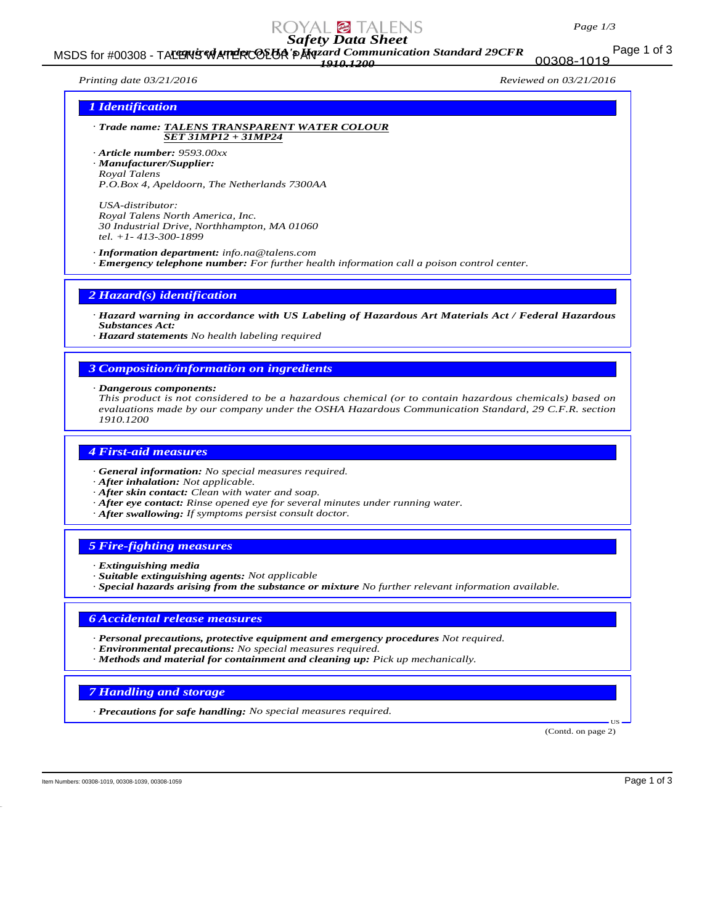# *Safety Data Sheet*

## Page 1 of 3 MSDS for #00308 - TALENS WATERCOLOR PAR*rand Communication Standard 29CFR 1910.1200*

*Printing date 03/21/2016 Reviewed on 03/21/2016*

00308-1019

#### *1 Identification*

*· Trade name: TALENS TRANSPARENT WATER COLOUR SET 31MP12 + 31MP24*

*· Article number: 9593.00xx · Manufacturer/Supplier: Royal Talens P.O.Box 4, Apeldoorn, The Netherlands 7300AA*

*USA-distributor: Royal Talens North America, Inc. 30 Industrial Drive, Northhampton, MA 01060 tel. +1- 413-300-1899*

*· Information department: info.na@talens.com*

*· Emergency telephone number: For further health information call a poison control center.*

#### *2 Hazard(s) identification*

*· Hazard warning in accordance with US Labeling of Hazardous Art Materials Act / Federal Hazardous Substances Act:*

*· Hazard statements No health labeling required*

#### *3 Composition/information on ingredients*

*· Dangerous components:*

*This product is not considered to be a hazardous chemical (or to contain hazardous chemicals) based on evaluations made by our company under the OSHA Hazardous Communication Standard, 29 C.F.R. section 1910.1200*

#### *4 First-aid measures*

- *· General information: No special measures required.*
- *· After inhalation: Not applicable.*
- *· After skin contact: Clean with water and soap.*
- *· After eye contact: Rinse opened eye for several minutes under running water.*
- *· After swallowing: If symptoms persist consult doctor.*

## *5 Fire-fighting measures*

- *· Extinguishing media*
- *· Suitable extinguishing agents: Not applicable*
- *· Special hazards arising from the substance or mixture No further relevant information available.*

#### *6 Accidental release measures*

- *· Personal precautions, protective equipment and emergency procedures Not required.*
- *· Environmental precautions: No special measures required.*
- *· Methods and material for containment and cleaning up: Pick up mechanically.*

#### *7 Handling and storage*

*· Precautions for safe handling: No special measures required.*

(Contd. on page 2)

US

Item Numbers: 00308-1019, 00308-1039, 00308-1059 Page 1 of 3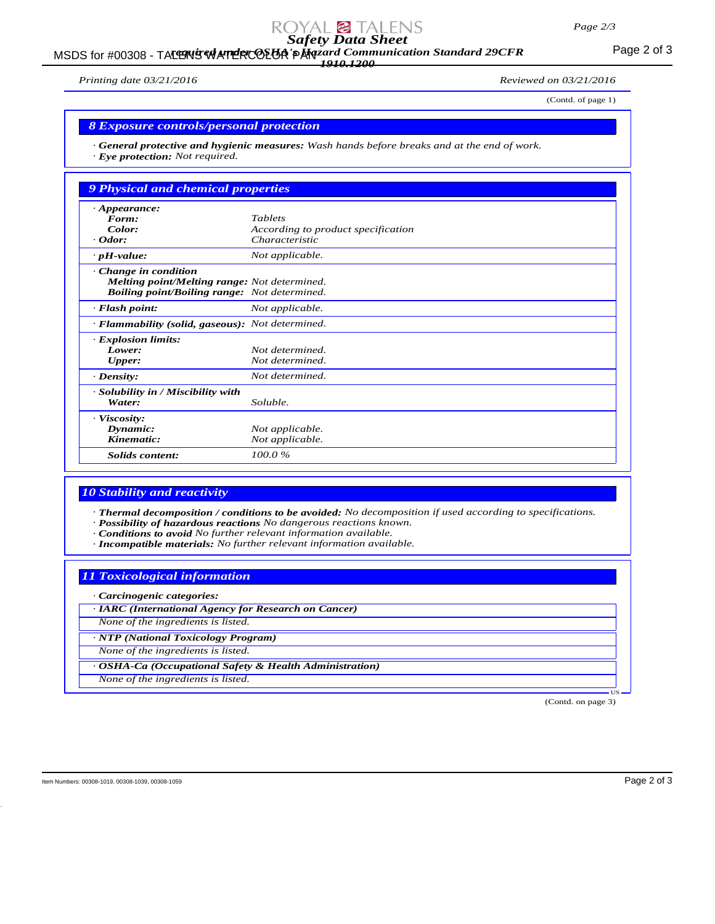# *Safety Data Sheet*

## MSDS for #00308 - TALENS WATERCOLOR PANzard Communication Standard 29CFR<br>MSDS for #00308 - TALENS WATERCOLOR PANZARIZED 2009 *1910.1200*

*Printing date 03/21/2016 Reviewed on 03/21/2016*

(Contd. of page 1)

## *8 Exposure controls/personal protection*

*· General protective and hygienic measures: Wash hands before breaks and at the end of work. · Eye protection: Not required.*

| <b>9 Physical and chemical properties</b>           |                                    |
|-----------------------------------------------------|------------------------------------|
| $\cdot$ Appearance:                                 |                                    |
| Form:                                               | <b>Tablets</b>                     |
| Color:                                              | According to product specification |
| $\cdot$ Odor:                                       | Characteristic                     |
| $\cdot$ pH-value:                                   | Not applicable.                    |
| $\cdot$ Change in condition                         |                                    |
| <b>Melting point/Melting range:</b> Not determined. |                                    |
| <b>Boiling point/Boiling range:</b> Not determined. |                                    |
| $\cdot$ Flash point:                                | Not applicable.                    |
| · Flammability (solid, gaseous): Not determined.    |                                    |
| <b>Explosion limits:</b>                            |                                    |
| Lower:                                              | Not determined.                    |
| Upper:                                              | Not determined.                    |
| $\cdot$ Density:                                    | Not determined.                    |
| · Solubility in / Miscibility with                  |                                    |
| Water:                                              | Soluble.                           |
| $\cdot$ Viscosity:                                  |                                    |
| Dynamic:                                            | Not applicable.                    |
| Kinematic:                                          | Not applicable.                    |
| <b>Solids</b> content:                              | 100.0%                             |

#### *10 Stability and reactivity*

*· Thermal decomposition / conditions to be avoided: No decomposition if used according to specifications.*

- *· Possibility of hazardous reactions No dangerous reactions known.*
- *· Conditions to avoid No further relevant information available.*
- *· Incompatible materials: No further relevant information available.*

# *11 Toxicological information*

*· Carcinogenic categories:*

*· IARC (International Agency for Research on Cancer)*

*None of the ingredients is listed.*

*· NTP (National Toxicology Program)*

*None of the ingredients is listed.*

*· OSHA-Ca (Occupational Safety & Health Administration)*

*None of the ingredients is listed.*

(Contd. on page 3)

US